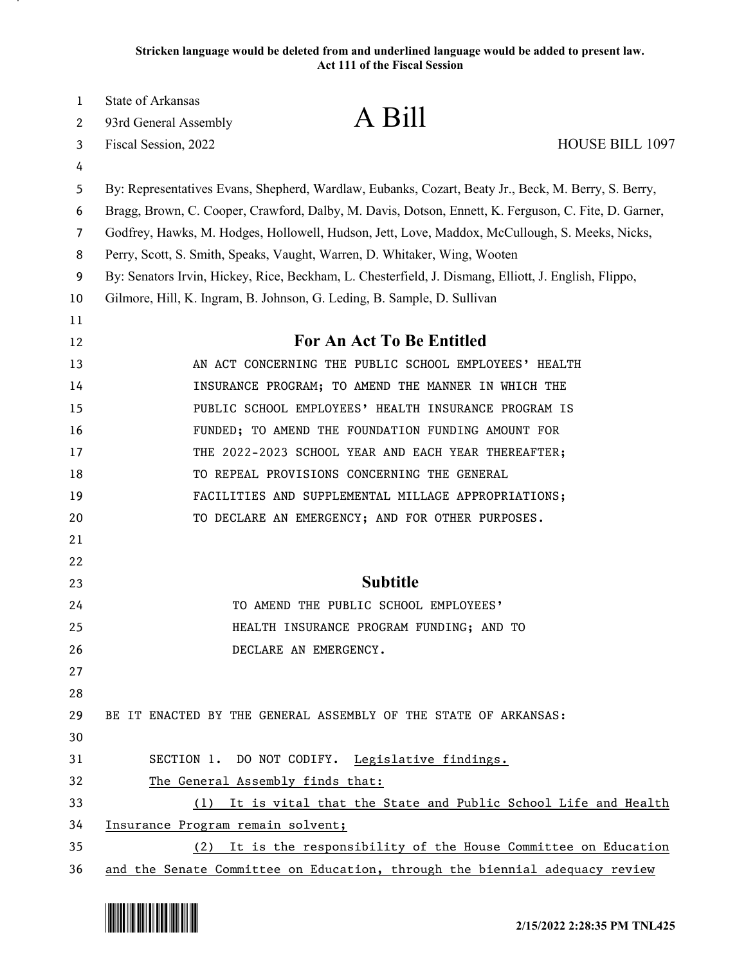**Stricken language would be deleted from and underlined language would be added to present law. Act 111 of the Fiscal Session**

| $\mathbf{1}$   | State of Arkansas                                                                                    |  |
|----------------|------------------------------------------------------------------------------------------------------|--|
| 2              | A Bill<br>93rd General Assembly                                                                      |  |
| 3              | <b>HOUSE BILL 1097</b><br>Fiscal Session, 2022                                                       |  |
| 4              |                                                                                                      |  |
| 5              | By: Representatives Evans, Shepherd, Wardlaw, Eubanks, Cozart, Beaty Jr., Beck, M. Berry, S. Berry,  |  |
| 6              | Bragg, Brown, C. Cooper, Crawford, Dalby, M. Davis, Dotson, Ennett, K. Ferguson, C. Fite, D. Garner, |  |
| $\overline{7}$ | Godfrey, Hawks, M. Hodges, Hollowell, Hudson, Jett, Love, Maddox, McCullough, S. Meeks, Nicks,       |  |
| 8              | Perry, Scott, S. Smith, Speaks, Vaught, Warren, D. Whitaker, Wing, Wooten                            |  |
| 9              | By: Senators Irvin, Hickey, Rice, Beckham, L. Chesterfield, J. Dismang, Elliott, J. English, Flippo, |  |
| 10             | Gilmore, Hill, K. Ingram, B. Johnson, G. Leding, B. Sample, D. Sullivan                              |  |
| 11             |                                                                                                      |  |
| 12             | For An Act To Be Entitled                                                                            |  |
| 13             | AN ACT CONCERNING THE PUBLIC SCHOOL EMPLOYEES' HEALTH                                                |  |
| 14             | INSURANCE PROGRAM; TO AMEND THE MANNER IN WHICH THE                                                  |  |
| 15             | PUBLIC SCHOOL EMPLOYEES' HEALTH INSURANCE PROGRAM IS                                                 |  |
| 16             | FUNDED; TO AMEND THE FOUNDATION FUNDING AMOUNT FOR                                                   |  |
| 17             | THE 2022-2023 SCHOOL YEAR AND EACH YEAR THEREAFTER;                                                  |  |
| 18             | TO REPEAL PROVISIONS CONCERNING THE GENERAL                                                          |  |
| 19             | FACILITIES AND SUPPLEMENTAL MILLAGE APPROPRIATIONS;                                                  |  |
| 20             | TO DECLARE AN EMERGENCY; AND FOR OTHER PURPOSES.                                                     |  |
| 21             |                                                                                                      |  |
| 22             |                                                                                                      |  |
| 23             | <b>Subtitle</b>                                                                                      |  |
| 24             | TO AMEND THE PUBLIC SCHOOL EMPLOYEES'                                                                |  |
| 25             | HEALTH INSURANCE PROGRAM FUNDING; AND TO                                                             |  |
| 26             | DECLARE AN EMERGENCY.                                                                                |  |
| 27             |                                                                                                      |  |
| 28             |                                                                                                      |  |
| 29             | BE IT ENACTED BY THE GENERAL ASSEMBLY OF THE STATE OF ARKANSAS:                                      |  |
| 30             |                                                                                                      |  |
| 31             | SECTION 1. DO NOT CODIFY. Legislative findings.                                                      |  |
| 32             | The General Assembly finds that:                                                                     |  |
| 33             | (1) It is vital that the State and Public School Life and Health                                     |  |
| 34             | Insurance Program remain solvent;                                                                    |  |
| 35             | (2) It is the responsibility of the House Committee on Education                                     |  |
| 36             | and the Senate Committee on Education, through the biennial adequacy review                          |  |

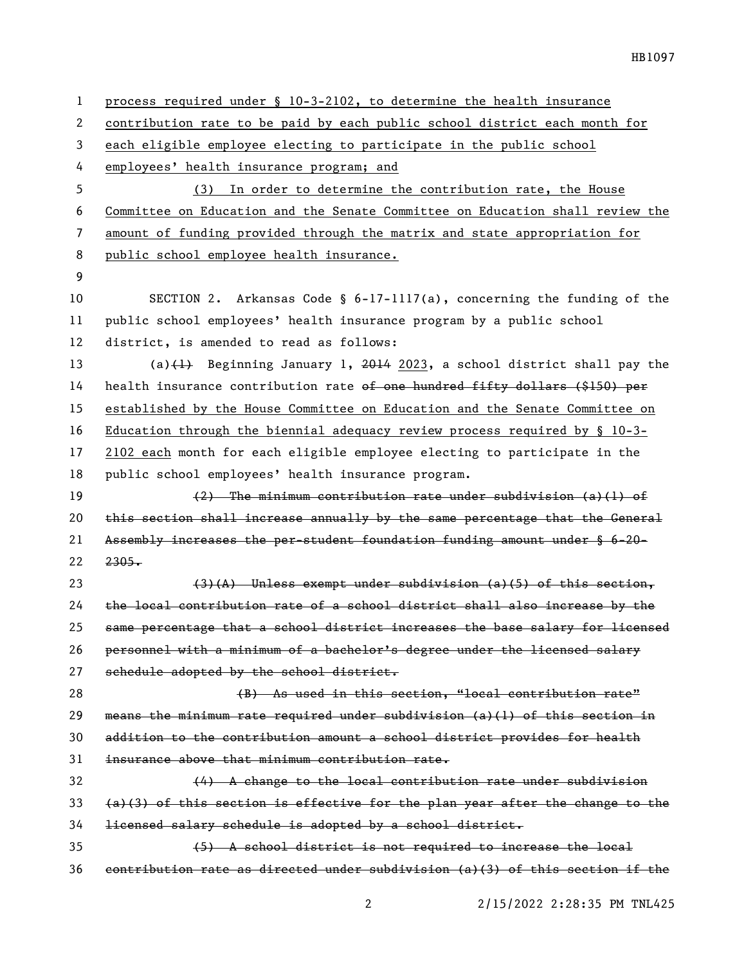| $\mathbf{1}$   | process required under § 10-3-2102, to determine the health insurance                           |
|----------------|-------------------------------------------------------------------------------------------------|
| 2              | contribution rate to be paid by each public school district each month for                      |
| 3              | each eligible employee electing to participate in the public school                             |
| 4              | employees' health insurance program; and                                                        |
| 5              | (3) In order to determine the contribution rate, the House                                      |
| 6              | Committee on Education and the Senate Committee on Education shall review the                   |
| $\overline{7}$ | amount of funding provided through the matrix and state appropriation for                       |
| 8              | public school employee health insurance.                                                        |
| 9              |                                                                                                 |
| 10             | SECTION 2. Arkansas Code § $6-17-1117(a)$ , concerning the funding of the                       |
| 11             | public school employees' health insurance program by a public school                            |
| 12             | district, is amended to read as follows:                                                        |
| 13             | (a) $\{\pm\}$ Beginning January 1, 2014 2023, a school district shall pay the                   |
| 14             | health insurance contribution rate of one hundred fifty dollars (\$150) per                     |
| 15             | established by the House Committee on Education and the Senate Committee on                     |
| 16             | <u>Education through the biennial adequacy review process required by <math>\S</math> 10-3-</u> |
| 17             | 2102 each month for each eligible employee electing to participate in the                       |
| 18             | public school employees' health insurance program.                                              |
| 19             | $(2)$ The minimum contribution rate under subdivision $(a)(1)$ of                               |
| 20             | this section shall increase annually by the same percentage that the General                    |
| 21             | Assembly increases the per-student foundation funding amount under § 6-20-                      |
| 22             | $2305 -$                                                                                        |
| 23             | $(3)$ (A) Unless exempt under subdivision (a)(5) of this section,                               |
| 24             | the local contribution rate of a school district shall also increase by the                     |
| 25             | same percentage that a school district increases the base salary for licensed                   |
| 26             | personnel with a minimum of a bachelor's degree under the licensed salary                       |
| 27             | schedule adopted by the school district.                                                        |
| 28             | (B) As used in this section, "local contribution rate"                                          |
| 29             | means the minimum rate required under subdivision (a)(1) of this section in                     |
| 30             | addition to the contribution amount a school district provides for health                       |
| 31             | insurance above that minimum contribution rate.                                                 |
| 32             | $(4)$ A change to the local contribution rate under subdivision                                 |
| 33             | $(a)(3)$ of this section is effective for the plan year after the change to the                 |
| 34             | licensed salary schedule is adopted by a school district.                                       |
| 35             | (5) A school district is not required to increase the local                                     |
| 36             | eontribution rate as directed under subdivision (a)(3) of this section if the                   |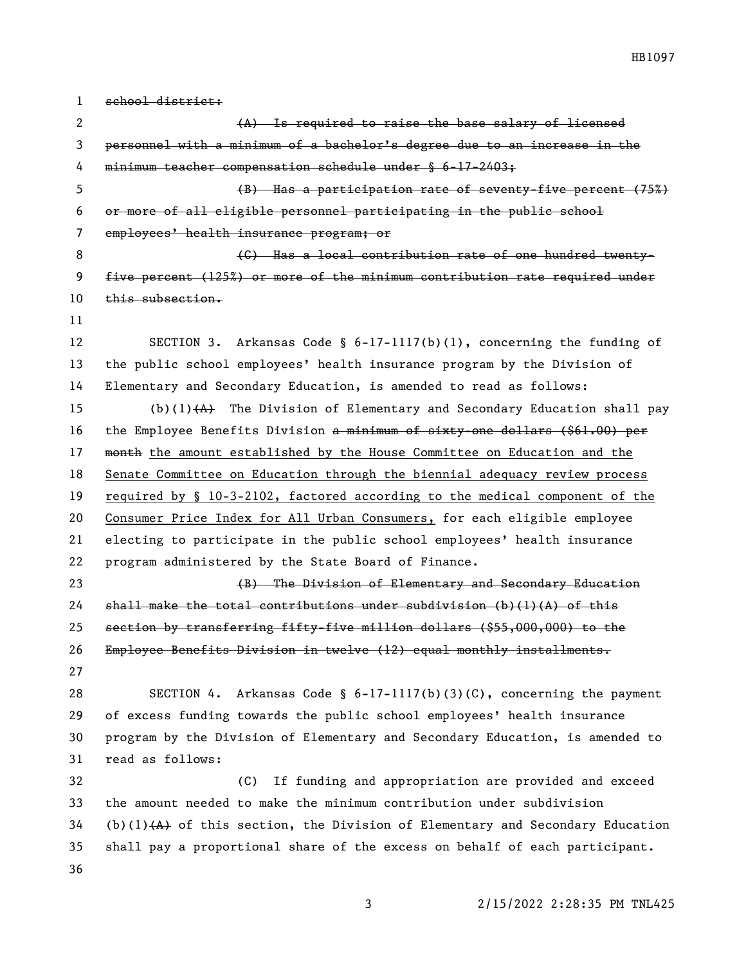school district: (A) Is required to raise the base salary of licensed personnel with a minimum of a bachelor's degree due to an increase in the minimum teacher compensation schedule under § 6-17-2403; (B) Has a participation rate of seventy-five percent (75%) or more of all eligible personnel participating in the public school employees' health insurance program; or 8 (G) Has a local contribution rate of one hundred twenty- five percent (125%) or more of the minimum contribution rate required under 10 this subsection. SECTION 3. Arkansas Code § 6-17-1117(b)(1), concerning the funding of the public school employees' health insurance program by the Division of Elementary and Secondary Education, is amended to read as follows: 15 (b)(1) $(A)$  The Division of Elementary and Secondary Education shall pay 16 the Employee Benefits Division a minimum of sixty-one dollars (\$61.00) per 17 month the amount established by the House Committee on Education and the Senate Committee on Education through the biennial adequacy review process required by § 10-3-2102, factored according to the medical component of the 20 Consumer Price Index for All Urban Consumers, for each eligible employee electing to participate in the public school employees' health insurance program administered by the State Board of Finance. (B) The Division of Elementary and Secondary Education 24 shall make the total contributions under subdivision  $(b)$  (1) $(A)$  of this section by transferring fifty-five million dollars (\$55,000,000) to the Employee Benefits Division in twelve (12) equal monthly installments. SECTION 4. Arkansas Code § 6-17-1117(b)(3)(C), concerning the payment of excess funding towards the public school employees' health insurance program by the Division of Elementary and Secondary Education, is amended to read as follows: (C) If funding and appropriation are provided and exceed the amount needed to make the minimum contribution under subdivision (b)(1) $(A)$  of this section, the Division of Elementary and Secondary Education shall pay a proportional share of the excess on behalf of each participant.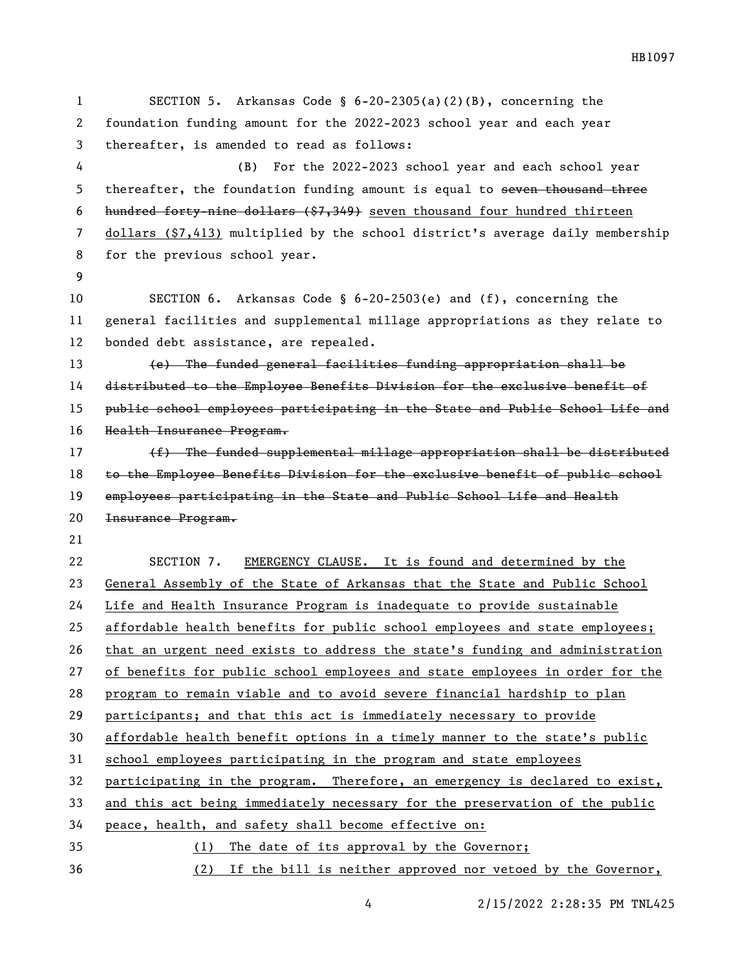SECTION 5. Arkansas Code § 6-20-2305(a)(2)(B), concerning the foundation funding amount for the 2022-2023 school year and each year thereafter, is amended to read as follows: (B) For the 2022-2023 school year and each school year 5 thereafter, the foundation funding amount is equal to seven thousand three 6 hundred forty-nine dollars (\$7,349) seven thousand four hundred thirteen dollars (\$7,413) multiplied by the school district's average daily membership for the previous school year. SECTION 6. Arkansas Code § 6-20-2503(e) and (f), concerning the general facilities and supplemental millage appropriations as they relate to bonded debt assistance, are repealed. (e) The funded general facilities funding appropriation shall be distributed to the Employee Benefits Division for the exclusive benefit of public school employees participating in the State and Public School Life and Health Insurance Program. 17 (f) The funded supplemental millage appropriation shall be distributed 18 to the Employee Benefits Division for the exclusive benefit of public school employees participating in the State and Public School Life and Health Insurance Program. SECTION 7. EMERGENCY CLAUSE. It is found and determined by the General Assembly of the State of Arkansas that the State and Public School Life and Health Insurance Program is inadequate to provide sustainable affordable health benefits for public school employees and state employees; that an urgent need exists to address the state's funding and administration of benefits for public school employees and state employees in order for the program to remain viable and to avoid severe financial hardship to plan participants; and that this act is immediately necessary to provide affordable health benefit options in a timely manner to the state's public school employees participating in the program and state employees 32 participating in the program. Therefore, an emergency is declared to exist, and this act being immediately necessary for the preservation of the public peace, health, and safety shall become effective on: (1) The date of its approval by the Governor;

(2) If the bill is neither approved nor vetoed by the Governor,

2/15/2022 2:28:35 PM TNL425

HB1097